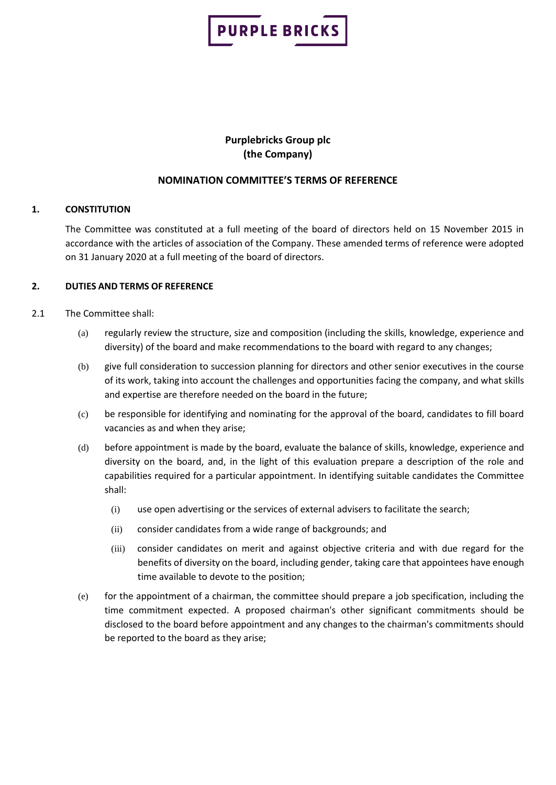

# **Purplebricks Group plc (the Company)**

# **NOMINATION COMMITTEE'S TERMS OF REFERENCE**

# **1. CONSTITUTION**

The Committee was constituted at a full meeting of the board of directors held on 15 November 2015 in accordance with the articles of association of the Company. These amended terms of reference were adopted on 31 January 2020 at a full meeting of the board of directors.

# **2. DUTIES AND TERMS OF REFERENCE**

# 2.1 The Committee shall:

- (a) regularly review the structure, size and composition (including the skills, knowledge, experience and diversity) of the board and make recommendations to the board with regard to any changes;
- (b) give full consideration to succession planning for directors and other senior executives in the course of its work, taking into account the challenges and opportunities facing the company, and what skills and expertise are therefore needed on the board in the future;
- (c) be responsible for identifying and nominating for the approval of the board, candidates to fill board vacancies as and when they arise;
- (d) before appointment is made by the board, evaluate the balance of skills, knowledge, experience and diversity on the board, and, in the light of this evaluation prepare a description of the role and capabilities required for a particular appointment. In identifying suitable candidates the Committee shall:
	- (i) use open advertising or the services of external advisers to facilitate the search;
	- (ii) consider candidates from a wide range of backgrounds; and
	- (iii) consider candidates on merit and against objective criteria and with due regard for the benefits of diversity on the board, including gender, taking care that appointees have enough time available to devote to the position;
- (e) for the appointment of a chairman, the committee should prepare a job specification, including the time commitment expected. A proposed chairman's other significant commitments should be disclosed to the board before appointment and any changes to the chairman's commitments should be reported to the board as they arise;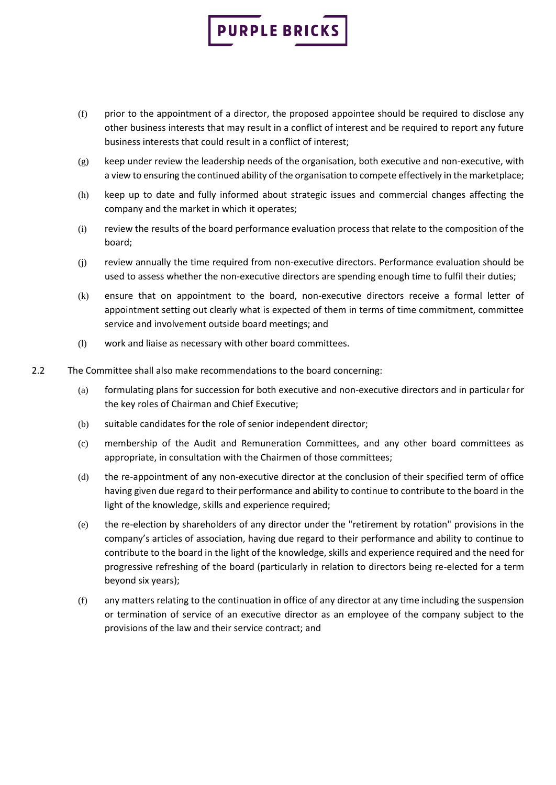# **PURPLE BRICKS**

- (f) prior to the appointment of a director, the proposed appointee should be required to disclose any other business interests that may result in a conflict of interest and be required to report any future business interests that could result in a conflict of interest;
- $(g)$  keep under review the leadership needs of the organisation, both executive and non-executive, with a view to ensuring the continued ability of the organisation to compete effectively in the marketplace;
- (h) keep up to date and fully informed about strategic issues and commercial changes affecting the company and the market in which it operates;
- (i) review the results of the board performance evaluation process that relate to the composition of the board;
- (j) review annually the time required from non-executive directors. Performance evaluation should be used to assess whether the non-executive directors are spending enough time to fulfil their duties;
- (k) ensure that on appointment to the board, non-executive directors receive a formal letter of appointment setting out clearly what is expected of them in terms of time commitment, committee service and involvement outside board meetings; and
- (l) work and liaise as necessary with other board committees.
- 2.2 The Committee shall also make recommendations to the board concerning:
	- (a) formulating plans for succession for both executive and non-executive directors and in particular for the key roles of Chairman and Chief Executive;
	- (b) suitable candidates for the role of senior independent director;
	- (c) membership of the Audit and Remuneration Committees, and any other board committees as appropriate, in consultation with the Chairmen of those committees;
	- (d) the re-appointment of any non-executive director at the conclusion of their specified term of office having given due regard to their performance and ability to continue to contribute to the board in the light of the knowledge, skills and experience required;
	- (e) the re-election by shareholders of any director under the "retirement by rotation" provisions in the company's articles of association, having due regard to their performance and ability to continue to contribute to the board in the light of the knowledge, skills and experience required and the need for progressive refreshing of the board (particularly in relation to directors being re-elected for a term beyond six years);
	- (f) any matters relating to the continuation in office of any director at any time including the suspension or termination of service of an executive director as an employee of the company subject to the provisions of the law and their service contract; and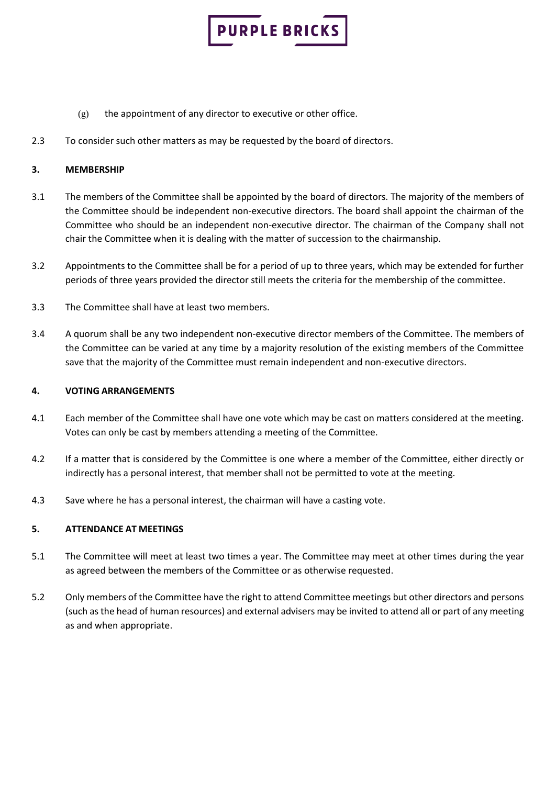

- $(g)$  the appointment of any director to executive or other office.
- 2.3 To consider such other matters as may be requested by the board of directors.

# **3. MEMBERSHIP**

- 3.1 The members of the Committee shall be appointed by the board of directors. The majority of the members of the Committee should be independent non-executive directors. The board shall appoint the chairman of the Committee who should be an independent non-executive director. The chairman of the Company shall not chair the Committee when it is dealing with the matter of succession to the chairmanship.
- 3.2 Appointments to the Committee shall be for a period of up to three years, which may be extended for further periods of three years provided the director still meets the criteria for the membership of the committee.
- 3.3 The Committee shall have at least two members.
- 3.4 A quorum shall be any two independent non-executive director members of the Committee. The members of the Committee can be varied at any time by a majority resolution of the existing members of the Committee save that the majority of the Committee must remain independent and non-executive directors.

#### **4. VOTING ARRANGEMENTS**

- 4.1 Each member of the Committee shall have one vote which may be cast on matters considered at the meeting. Votes can only be cast by members attending a meeting of the Committee.
- 4.2 If a matter that is considered by the Committee is one where a member of the Committee, either directly or indirectly has a personal interest, that member shall not be permitted to vote at the meeting.
- 4.3 Save where he has a personal interest, the chairman will have a casting vote.

#### **5. ATTENDANCE AT MEETINGS**

- 5.1 The Committee will meet at least two times a year. The Committee may meet at other times during the year as agreed between the members of the Committee or as otherwise requested.
- 5.2 Only members of the Committee have the right to attend Committee meetings but other directors and persons (such as the head of human resources) and external advisers may be invited to attend all or part of any meeting as and when appropriate.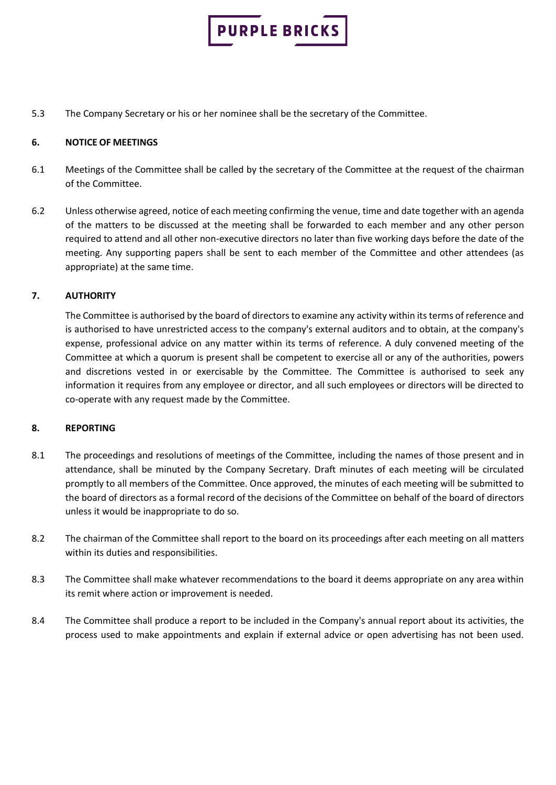

5.3 The Company Secretary or his or her nominee shall be the secretary of the Committee.

#### **6. NOTICE OF MEETINGS**

- 6.1 Meetings of the Committee shall be called by the secretary of the Committee at the request of the chairman of the Committee.
- 6.2 Unless otherwise agreed, notice of each meeting confirming the venue, time and date together with an agenda of the matters to be discussed at the meeting shall be forwarded to each member and any other person required to attend and all other non-executive directors no later than five working days before the date of the meeting. Any supporting papers shall be sent to each member of the Committee and other attendees (as appropriate) at the same time.

# **7. AUTHORITY**

The Committee is authorised by the board of directors to examine any activity within its terms of reference and is authorised to have unrestricted access to the company's external auditors and to obtain, at the company's expense, professional advice on any matter within its terms of reference. A duly convened meeting of the Committee at which a quorum is present shall be competent to exercise all or any of the authorities, powers and discretions vested in or exercisable by the Committee. The Committee is authorised to seek any information it requires from any employee or director, and all such employees or directors will be directed to co-operate with any request made by the Committee.

#### **8. REPORTING**

- 8.1 The proceedings and resolutions of meetings of the Committee, including the names of those present and in attendance, shall be minuted by the Company Secretary. Draft minutes of each meeting will be circulated promptly to all members of the Committee. Once approved, the minutes of each meeting will be submitted to the board of directors as a formal record of the decisions of the Committee on behalf of the board of directors unless it would be inappropriate to do so.
- 8.2 The chairman of the Committee shall report to the board on its proceedings after each meeting on all matters within its duties and responsibilities.
- 8.3 The Committee shall make whatever recommendations to the board it deems appropriate on any area within its remit where action or improvement is needed.
- 8.4 The Committee shall produce a report to be included in the Company's annual report about its activities, the process used to make appointments and explain if external advice or open advertising has not been used.